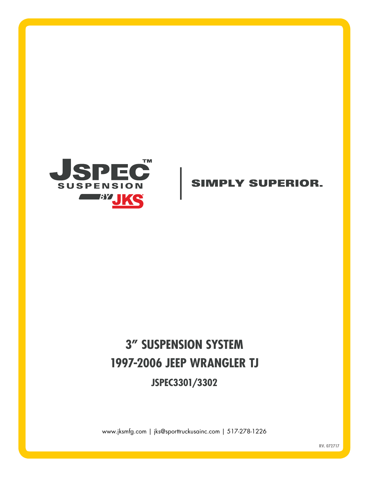

### **SIMPLY SUPERIOR.**

# **3" SUSPENSION SYSTEM 1997-2006 JEEP WRANGLER TJ JSPEC3301/3302**

www.jksmfg.com | jks@sporttruckusainc.com | 517-278-1226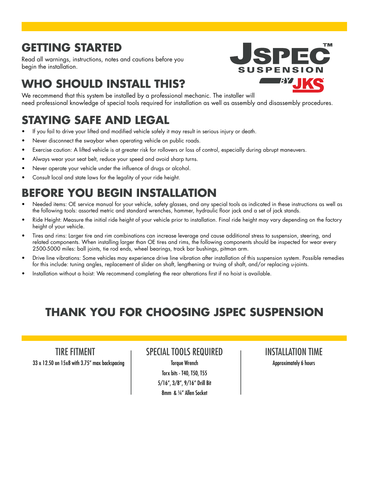## **GETTING STARTED**

Read all warnings, instructions, notes and cautions before you begin the installation.

# **WHO SHOULD INSTALL THIS?**

We recommend that this system be installed by a professional mechanic. The installer will need professional knowledge of special tools required for installation as well as assembly and disassembly procedures.

# **STAYING SAFE AND LEGAL**

- If you fail to drive your lifted and modified vehicle safely it may result in serious injury or death.
- Never disconnect the swaybar when operating vehicle on public roads.
- Exercise caution: A lifted vehicle is at greater risk for rollovers or loss of control, especially during abrupt maneuvers.
- Always wear your seat belt, reduce your speed and avoid sharp turns.
- Never operate your vehicle under the influence of drugs or alcohol.
- Consult local and state laws for the legality of your ride height.

# **BEFORE YOU BEGIN INSTALLATION**

- Needed items: OE service manual for your vehicle, safety glasses, and any special tools as indicated in these instructions as well as the following tools: assorted metric and standard wrenches, hammer, hydraulic floor jack and a set of jack stands.
- Ride Height: Measure the initial ride height of your vehicle prior to installation. Final ride height may vary depending on the factory height of your vehicle.
- Tires and rims: Larger tire and rim combinations can increase leverage and cause additional stress to suspension, steering, and related components. When installing larger than OE tires and rims, the following components should be inspected for wear every 2500-5000 miles: ball joints, tie rod ends, wheel bearings, track bar bushings, pitman arm.
- Drive line vibrations: Some vehicles may experience drive line vibration after installation of this suspension system. Possible remedies for this include: tuning angles, replacement of slider on shaft, lengthening or truing of shaft, and/or replacing u-joints.
- Installation without a hoist: We recommend completing the rear alterations first if no hoist is available.

# **THANK YOU FOR CHOOSING JSPEC SUSPENSION**

TIRE FITMENT 33 x 12.50 on 15x8 with 3.75" max backspacing

#### SPECIAL TOOLS REQUIRED

Torque Wrench Torx bits - T40, T50, T55 5/16", 3/8", 9/16" Drill Bit 8mm & 1/4" Allen Socket

INSTALLATION TIME Approximately 6 hours

**TM** PENS - BY I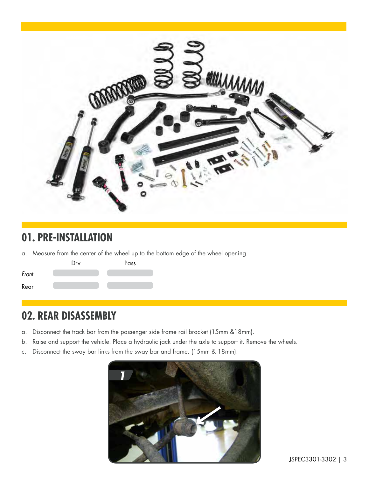

### **01. PRE-INSTALLATION**

a. Measure from the center of the wheel up to the bottom edge of the wheel opening.



### **02. REAR DISASSEMBLY**

- a. Disconnect the track bar from the passenger side frame rail bracket (15mm &18mm).
- b. Raise and support the vehicle. Place a hydraulic jack under the axle to support it. Remove the wheels.
- c. Disconnect the sway bar links from the sway bar and frame. (15mm & 18mm).

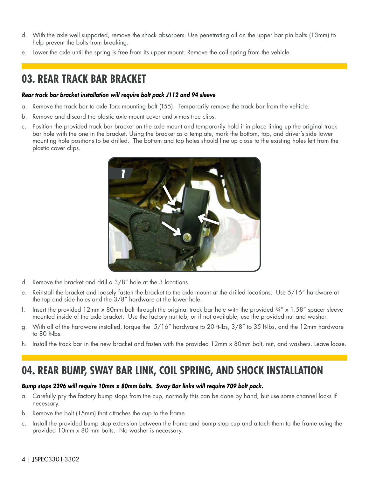- d. With the axle well supported, remove the shock absorbers. Use penetrating oil on the upper bar pin bolts (13mm) to help prevent the bolts from breaking.
- e. Lower the axle until the spring is free from its upper mount. Remove the coil spring from the vehicle.

### **03. REAR TRACK BAR BRACKET**

#### *Rear track bar bracket installation will require bolt pack J112 and 94 sleeve*

- a. Remove the track bar to axle Torx mounting bolt (T55). Temporarily remove the track bar from the vehicle.
- b. Remove and discard the plastic axle mount cover and x-mas tree clips.
- c. Position the provided track bar bracket on the axle mount and temporarily hold it in place lining up the original track bar hole with the one in the bracket. Using the bracket as a template, mark the bottom, top, and driver's side lower mounting hole positions to be drilled. The bottom and top holes should line up close to the existing holes left from the plastic cover clips.



- d. Remove the bracket and drill a 3/8" hole at the 3 locations.
- e. Reinstall the bracket and loosely fasten the bracket to the axle mount at the drilled locations. Use 5/16" hardware at the top and side holes and the 3/8" hardware at the lower hole.
- f. Insert the provided 12mm x 80mm bolt through the original track bar hole with the provided  $\frac{3}{4}$ " x 1.58" spacer sleeve mounted inside of the axle bracket. Use the factory nut tab, or if not available, use the provided nut and washer.
- g. With all of the hardware installed, torque the 5/16" hardware to 20 ft-lbs, 3/8" to 35 ft-lbs, and the 12mm hardware to 80 ft-lbs.
- h. Install the track bar in the new bracket and fasten with the provided 12mm x 80mm bolt, nut, and washers. Leave loose.

### **04. REAR BUMP, SWAY BAR LINK, COIL SPRING, AND SHOCK INSTALLATION**

#### *Bump stops 2296 will require 10mm x 80mm bolts. Sway Bar links will require 709 bolt pack.*

- a. Carefully pry the factory bump stops from the cup, normally this can be done by hand, but use some channel locks if necessary.
- b. Remove the bolt (15mm) that attaches the cup to the frame.
- c. Install the provided bump stop extension between the frame and bump stop cup and attach them to the frame using the provided 10mm x 80 mm bolts. No washer is necessary.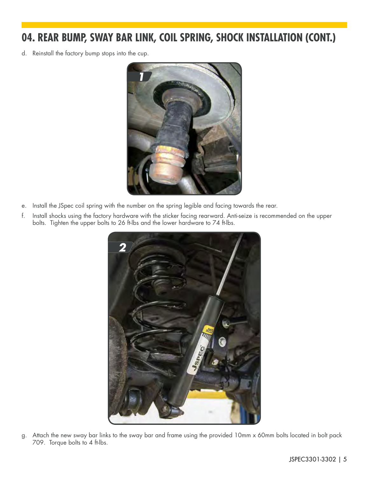### **04. REAR BUMP, SWAY BAR LINK, COIL SPRING, SHOCK INSTALLATION (CONT.)**

d. Reinstall the factory bump stops into the cup.



- e. Install the JSpec coil spring with the number on the spring legible and facing towards the rear.
- f. Install shocks using the factory hardware with the sticker facing rearward. Anti-seize is recommended on the upper bolts. Tighten the upper bolts to 26 ft-lbs and the lower hardware to 74 ft-lbs.



g. Attach the new sway bar links to the sway bar and frame using the provided 10mm x 60mm bolts located in bolt pack 709. Torque bolts to 4 ft-lbs.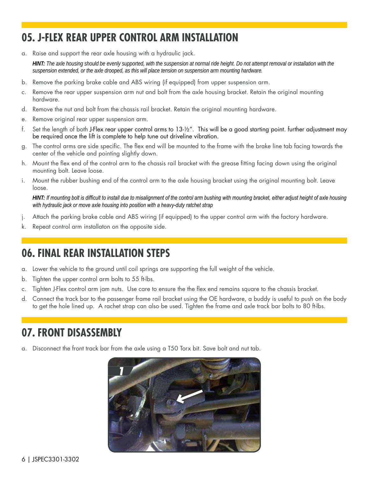### **05. J-FLEX REAR UPPER CONTROL ARM INSTALLATION**

a. Raise and support the rear axle housing with a hydraulic jack.

*HINT: The axle housing should be evenly supported, with the suspension at normal ride height. Do not attempt removal or installation with the suspension extended, or the axle drooped, as this will place tension on suspension arm mounting hardware.*

- b. Remove the parking brake cable and ABS wiring (if equipped) from upper suspension arm.
- c. Remove the rear upper suspension arm nut and bolt from the axle housing bracket. Retain the original mounting hardware.
- d. Remove the nut and bolt from the chassis rail bracket. Retain the original mounting hardware.
- e. Remove original rear upper suspension arm.
- f. Set the length of both J-Flex rear upper control arms to 13-1/2". This will be a good starting point. further adjustment may be required once the lift is complete to help tune out driveline vibration.
- g. The control arms are side specific. The flex end will be mounted to the frame with the brake line tab facing towards the center of the vehicle and pointing slightly down.
- h. Mount the flex end of the control arm to the chassis rail bracket with the grease fitting facing down using the original mounting bolt. Leave loose.
- i. Mount the rubber bushing end of the control arm to the axle housing bracket using the original mounting bolt. Leave loose.

*HINT: If mounting bolt is difficult to install due to misalignment of the control arm bushing with mounting bracket, either adjust height of axle housing with hydraulic jack or move axle housing into position with a heavy-duty ratchet strap*

- j. Attach the parking brake cable and ABS wiring (if equipped) to the upper control arm with the factory hardware.
- k. Repeat control arm installaton on the opposite side.

### **06. FINAL REAR INSTALLATION STEPS**

- a. Lower the vehicle to the ground until coil springs are supporting the full weight of the vehicle.
- b. Tighten the upper control arm bolts to 55 ft-lbs.
- c. Tighten J-Flex control arm jam nuts. Use care to ensure the the flex end remains square to the chassis bracket.
- d. Connect the track bar to the passenger frame rail bracket using the OE hardware, a buddy is useful to push on the body to get the hole lined up. A rachet strap can also be used. Tighten the frame and axle track bar bolts to 80 ft-lbs.

### **07. FRONT DISASSEMBLY**

a. Disconnect the front track bar from the axle using a T50 Torx bit. Save bolt and nut tab.

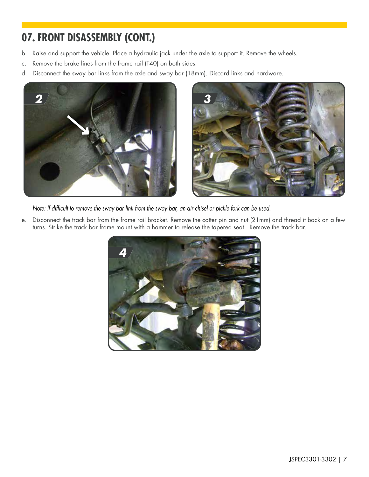### **07. FRONT DISASSEMBLY (CONT.)**

- b. Raise and support the vehicle. Place a hydraulic jack under the axle to support it. Remove the wheels.
- c. Remove the brake lines from the frame rail (T40) on both sides.
- d. Disconnect the sway bar links from the axle and sway bar (18mm). Discard links and hardware.





*Note: If difficult to remove the sway bar link from the sway bar, an air chisel or pickle fork can be used.*

e. Disconnect the track bar from the frame rail bracket. Remove the cotter pin and nut (21mm) and thread it back on a few turns. Strike the track bar frame mount with a hammer to release the tapered seat. Remove the track bar.

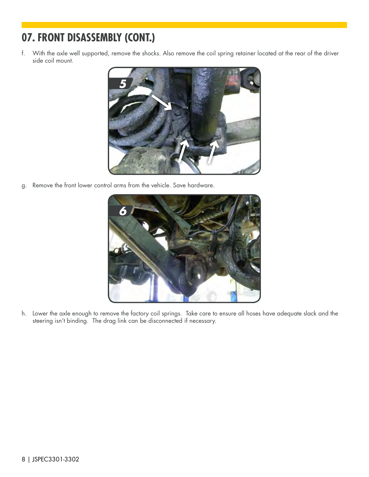## **07. FRONT DISASSEMBLY (CONT.)**

f. With the axle well supported, remove the shocks. Also remove the coil spring retainer located at the rear of the driver side coil mount.



g. Remove the front lower control arms from the vehicle. Save hardware.



h. Lower the axle enough to remove the factory coil springs. Take care to ensure all hoses have adequate slack and the steering isn't binding. The drag link can be disconnected if necessary.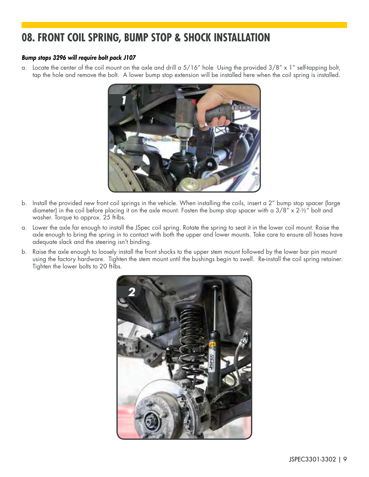### **08. FRONT COIL SPRING, BUMP STOP & SHOCK INSTALLATION**

#### *Bump stops 3296 will require bolt pack J107*

a. Locate the center of the coil mount on the axle and drill a  $5/16''$  hole Using the provided  $3/8'' \times 1''$  self-tapping bolt, tap the hole and remove the bolt. A lower bump stop extension will be installed here when the coil spring is installed.



- b. Install the provided new front coil springs in the vehicle. When installing the coils, insert a 2" bump stop spacer (large diameter) in the coil before placing it on the axle mount. Fasten the bump stop spacer with a  $3/8'' \times 2\frac{1}{2}''$  bolt and washer. Torque to approx. 25 ft-lbs.
- a. Lower the axle far enough to install the JSpec coil spring. Rotate the spring to seat it in the lower coil mount. Raise the axle enough to bring the spring in to contact with both the upper and lower mounts. Take care to ensure all hoses have adequate slack and the steering isn't binding.
- b. Raise the axle enough to loosely install the front shocks to the upper stem mount followed by the lower bar pin mount using the factory hardware. Tighten the stem mount until the bushings begin to swell. Re-install the coil spring retainer. Tighten the lower bolts to 20 ft-lbs.

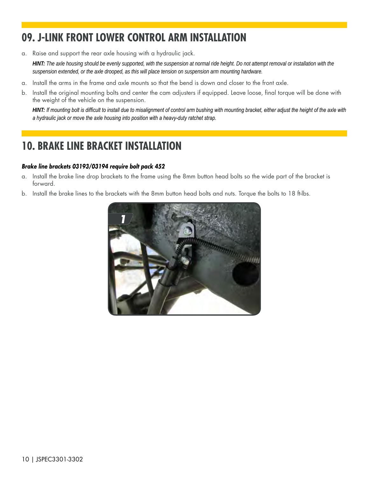### **09. J-LINK FRONT LOWER CONTROL ARM INSTALLATION**

a. Raise and support the rear axle housing with a hydraulic jack.

*HINT: The axle housing should be evenly supported, with the suspension at normal ride height. Do not attempt removal or installation with the suspension extended, or the axle drooped, as this will place tension on suspension arm mounting hardware.*

- a. Install the arms in the frame and axle mounts so that the bend is down and closer to the front axle.
- b. Install the original mounting bolts and center the cam adjusters if equipped. Leave loose, final torque will be done with the weight of the vehicle on the suspension.

*HINT: If mounting bolt is difficult to install due to misalignment of control arm bushing with mounting bracket, either adjust the height of the axle with a hydraulic jack or move the axle housing into position with a heavy-duty ratchet strap.*

## **10. BRAKE LINE BRACKET INSTALLATION**

#### *Brake line brackets 03193/03194 require bolt pack 452*

- a. Install the brake line drop brackets to the frame using the 8mm button head bolts so the wide part of the bracket is forward.
- b. Install the brake lines to the brackets with the 8mm button head bolts and nuts. Torque the bolts to 18 ft-lbs.

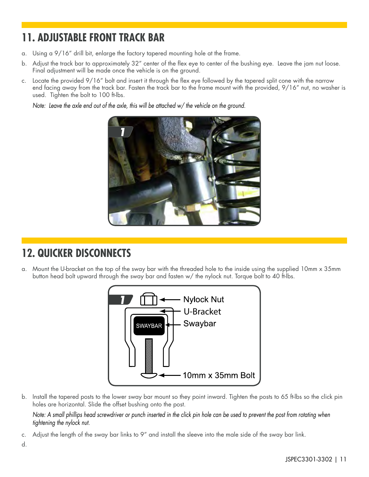## **11. ADJUSTABLE FRONT TRACK BAR**

- a. Using a 9/16" drill bit, enlarge the factory tapered mounting hole at the frame.
- b. Adjust the track bar to approximately 32" center of the flex eye to center of the bushing eye. Leave the jam nut loose. Final adjustment will be made once the vehicle is on the ground.
- c. Locate the provided 9/16" bolt and insert it through the flex eye followed by the tapered split cone with the narrow end facing away from the track bar. Fasten the track bar to the frame mount with the provided, 9/16" nut, no washer is used. Tighten the bolt to 100 ft-lbs.

*Note: Leave the axle end out of the axle, this will be attached w/ the vehicle on the ground.*



### **12. QUICKER DISCONNECTS**

a. Mount the U-bracket on the top of the sway bar with the threaded hole to the inside using the supplied 10mm x 35mm button head bolt upward through the sway bar and fasten w/ the nylock nut. Torque bolt to 40 ft-lbs.



b. Install the tapered posts to the lower sway bar mount so they point inward. Tighten the posts to 65 ft-lbs so the click pin holes are horizontal. Slide the offset bushing onto the post.

*Note: A small phillips head screwdriver or punch inserted in the click pin hole can be used to prevent the post from rotating when tightening the nylock nut.*

c. Adjust the length of the sway bar links to 9" and install the sleeve into the male side of the sway bar link.

d.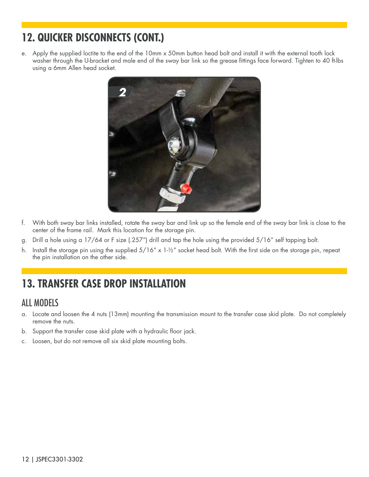## **12. QUICKER DISCONNECTS (CONT.)**

e. Apply the supplied loctite to the end of the 10mm x 50mm button head bolt and install it with the external tooth lock washer through the U-bracket and male end of the sway bar link so the grease fittings face forward. Tighten to 40 ft-lbs using a 6mm Allen head socket.



- f. With both sway bar links installed, rotate the sway bar and link up so the female end of the sway bar link is close to the center of the frame rail. Mark this location for the storage pin.
- g. Drill a hole using a 17/64 or F size (.257") drill and tap the hole using the provided 5/16" self tapping bolt.
- h. Install the storage pin using the supplied  $5/16''$  x  $1-\frac{1}{2}''$  socket head bolt. With the first side on the storage pin, repeat the pin installation on the other side.

### **13. TRANSFER CASE DROP INSTALLATION**

#### ALL MODELS

- a. Locate and loosen the 4 nuts (13mm) mounting the transmission mount to the transfer case skid plate. Do not completely remove the nuts.
- b. Support the transfer case skid plate with a hydraulic floor jack.
- c. Loosen, but do not remove all six skid plate mounting bolts.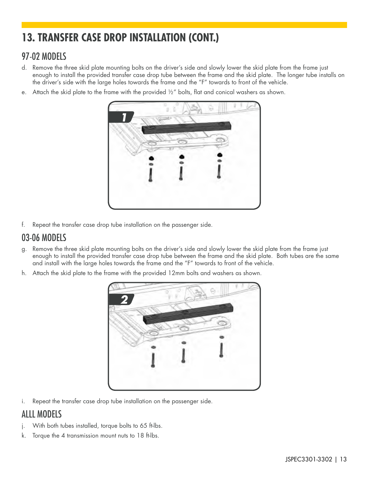# **13. TRANSFER CASE DROP INSTALLATION (CONT.)**

#### 97-02 MODELS

- d. Remove the three skid plate mounting bolts on the driver's side and slowly lower the skid plate from the frame just enough to install the provided transfer case drop tube between the frame and the skid plate. The longer tube installs on the driver's side with the large holes towards the frame and the "F" towards to front of the vehicle.
- e. Attach the skid plate to the frame with the provided  $1/2$ " bolts, flat and conical washers as shown.



f. Repeat the transfer case drop tube installation on the passenger side.

#### 03-06 MODELS

- g. Remove the three skid plate mounting bolts on the driver's side and slowly lower the skid plate from the frame just enough to install the provided transfer case drop tube between the frame and the skid plate. Both tubes are the same and install with the large holes towards the frame and the "F" towards to front of the vehicle.
- h. Attach the skid plate to the frame with the provided 12mm bolts and washers as shown.



i. Repeat the transfer case drop tube installation on the passenger side.

#### ALLL MODELS

- j. With both tubes installed, torque bolts to 65 ft-lbs.
- k. Torque the 4 transmission mount nuts to 18 ft-lbs.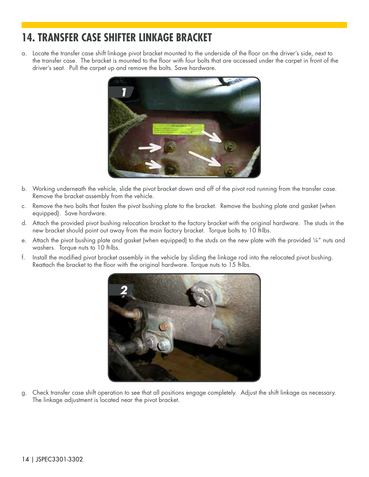### **14. TRANSFER CASE SHIFTER LINKAGE BRACKET**

a. Locate the transfer case shift linkage pivot bracket mounted to the underside of the floor on the driver's side, next to the transfer case. The bracket is mounted to the floor with four bolts that are accessed under the carpet in front of the driver's seat. Pull the carpet up and remove the bolts. Save hardware.



- b. Working underneath the vehicle, slide the pivot bracket down and off of the pivot rod running from the transfer case. Remove the bracket assembly from the vehicle.
- c. Remove the two bolts that fasten the pivot bushing plate to the bracket. Remove the bushing plate and gasket (when equipped). Save hardware.
- d. Attach the provided pivot bushing relocation bracket to the factory bracket with the original hardware. The studs in the new bracket should point out away from the main factory bracket. Torque bolts to 10 ft-lbs.
- e. Attach the pivot bushing plate and gasket (when equipped) to the studs on the new plate with the provided 1/4" nuts and washers. Torque nuts to 10 ft-lbs.
- f. Install the modified pivot bracket assembly in the vehicle by sliding the linkage rod into the relocated pivot bushing. Reattach the bracket to the floor with the original hardware. Torque nuts to 15 ft-lbs.



g. Check transfer case shift operation to see that all positions engage completely. Adjust the shift linkage as necessary. The linkage adjustment is located near the pivot bracket.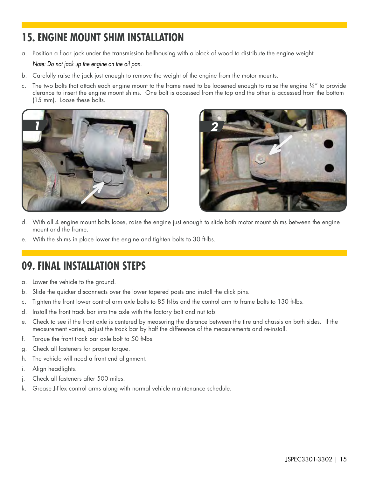## **15. ENGINE MOUNT SHIM INSTALLATION**

- a. Position a floor jack under the transmission bellhousing with a block of wood to distribute the engine weight *Note: Do not jack up the engine on the oil pan.*
- b. Carefully raise the jack just enough to remove the weight of the engine from the motor mounts.
- c. The two bolts that attach each engine mount to the frame need to be loosened enough to raise the engine 1/4" to provide clerance to insert the engine mount shims. One bolt is accessed from the top and the other is accessed from the bottom (15 mm). Loose these bolts.





- d. With all 4 engine mount bolts loose, raise the engine just enough to slide both motor mount shims between the engine mount and the frame.
- e. With the shims in place lower the engine and tighten bolts to 30 ft-lbs.

### **09. FINAL INSTALLATION STEPS**

- a. Lower the vehicle to the ground.
- b. Slide the quicker disconnects over the lower tapered posts and install the click pins.
- c. Tighten the front lower control arm axle bolts to 85 ft-lbs and the control arm to frame bolts to 130 ft-lbs.
- d. Install the front track bar into the axle with the factory bolt and nut tab.
- e. Check to see if the front axle is centered by measuring the distance between the tire and chassis on both sides. If the measurement varies, adjust the track bar by half the difference of the measurements and re-install.
- f. Torque the front track bar axle bolt to 50 ft-lbs.
- g. Check all fasteners for proper torque.
- h. The vehicle will need a front end alignment.
- i. Align headlights.
- j. Check all fasteners after 500 miles.
- k. Grease J-Flex control arms along with normal vehicle maintenance schedule.